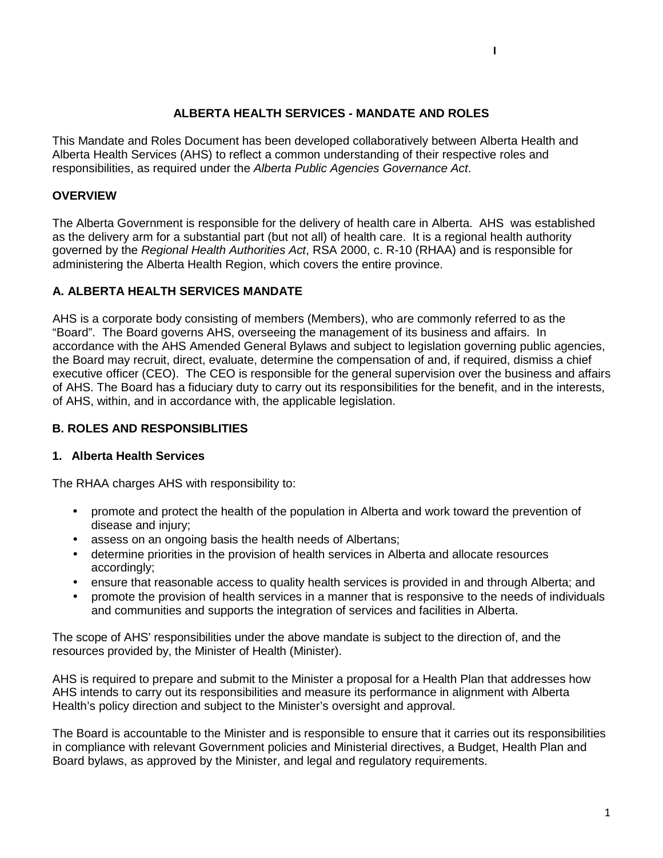#### **ALBERTA HEALTH SERVICES - MANDATE AND ROLES**

This Mandate and Roles Document has been developed collaboratively between Alberta Health and Alberta Health Services (AHS) to reflect a common understanding of their respective roles and responsibilities, as required under the *Alberta Public Agencies Governance Act*.

#### **OVERVIEW**

The Alberta Government is responsible for the delivery of health care in Alberta. AHS was established as the delivery arm for a substantial part (but not all) of health care. It is a regional health authority governed by the *Regional Health Authorities Act*, RSA 2000, c. R-10 (RHAA) and is responsible for administering the Alberta Health Region, which covers the entire province.

#### **A. ALBERTA HEALTH SERVICES MANDATE**

AHS is a corporate body consisting of members (Members), who are commonly referred to as the "Board". The Board governs AHS, overseeing the management of its business and affairs. In accordance with the AHS Amended General Bylaws and subject to legislation governing public agencies, the Board may recruit, direct, evaluate, determine the compensation of and, if required, dismiss a chief executive officer (CEO). The CEO is responsible for the general supervision over the business and affairs of AHS. The Board has a fiduciary duty to carry out its responsibilities for the benefit, and in the interests, of AHS, within, and in accordance with, the applicable legislation.

#### **B. ROLES AND RESPONSIBLITIES**

#### **1. Alberta Health Services**

The RHAA charges AHS with responsibility to:

- promote and protect the health of the population in Alberta and work toward the prevention of disease and injury;
- assess on an ongoing basis the health needs of Albertans;
- determine priorities in the provision of health services in Alberta and allocate resources accordingly;
- ensure that reasonable access to quality health services is provided in and through Alberta; and
- promote the provision of health services in a manner that is responsive to the needs of individuals and communities and supports the integration of services and facilities in Alberta.

The scope of AHS' responsibilities under the above mandate is subject to the direction of, and the resources provided by, the Minister of Health (Minister).

AHS is required to prepare and submit to the Minister a proposal for a Health Plan that addresses how AHS intends to carry out its responsibilities and measure its performance in alignment with Alberta Health's policy direction and subject to the Minister's oversight and approval.

The Board is accountable to the Minister and is responsible to ensure that it carries out its responsibilities in compliance with relevant Government policies and Ministerial directives, a Budget, Health Plan and Board bylaws, as approved by the Minister, and legal and regulatory requirements.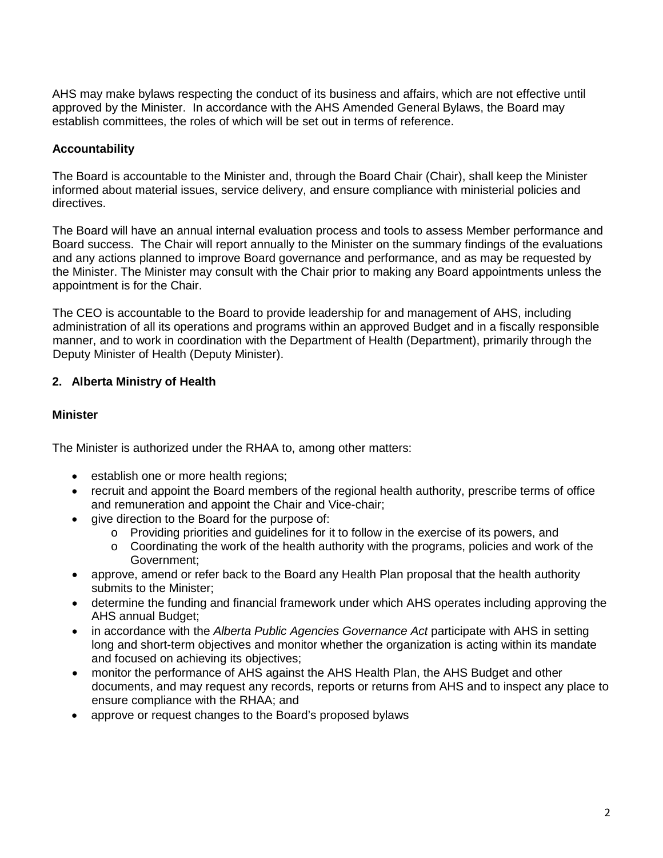AHS may make bylaws respecting the conduct of its business and affairs, which are not effective until approved by the Minister. In accordance with the AHS Amended General Bylaws, the Board may establish committees, the roles of which will be set out in terms of reference.

### **Accountability**

The Board is accountable to the Minister and, through the Board Chair (Chair), shall keep the Minister informed about material issues, service delivery, and ensure compliance with ministerial policies and directives.

The Board will have an annual internal evaluation process and tools to assess Member performance and Board success. The Chair will report annually to the Minister on the summary findings of the evaluations and any actions planned to improve Board governance and performance, and as may be requested by the Minister. The Minister may consult with the Chair prior to making any Board appointments unless the appointment is for the Chair.

The CEO is accountable to the Board to provide leadership for and management of AHS, including administration of all its operations and programs within an approved Budget and in a fiscally responsible manner, and to work in coordination with the Department of Health (Department), primarily through the Deputy Minister of Health (Deputy Minister).

# **2. Alberta Ministry of Health**

### **Minister**

The Minister is authorized under the RHAA to, among other matters:

- establish one or more health regions;
- recruit and appoint the Board members of the regional health authority, prescribe terms of office and remuneration and appoint the Chair and Vice-chair;
- give direction to the Board for the purpose of:
	- o Providing priorities and guidelines for it to follow in the exercise of its powers, and
	- $\circ$  Coordinating the work of the health authority with the programs, policies and work of the Government;
- approve, amend or refer back to the Board any Health Plan proposal that the health authority submits to the Minister;
- determine the funding and financial framework under which AHS operates including approving the AHS annual Budget;
- in accordance with the *Alberta Public Agencies Governance Act* participate with AHS in setting long and short-term objectives and monitor whether the organization is acting within its mandate and focused on achieving its objectives;
- monitor the performance of AHS against the AHS Health Plan, the AHS Budget and other documents, and may request any records, reports or returns from AHS and to inspect any place to ensure compliance with the RHAA; and
- approve or request changes to the Board's proposed bylaws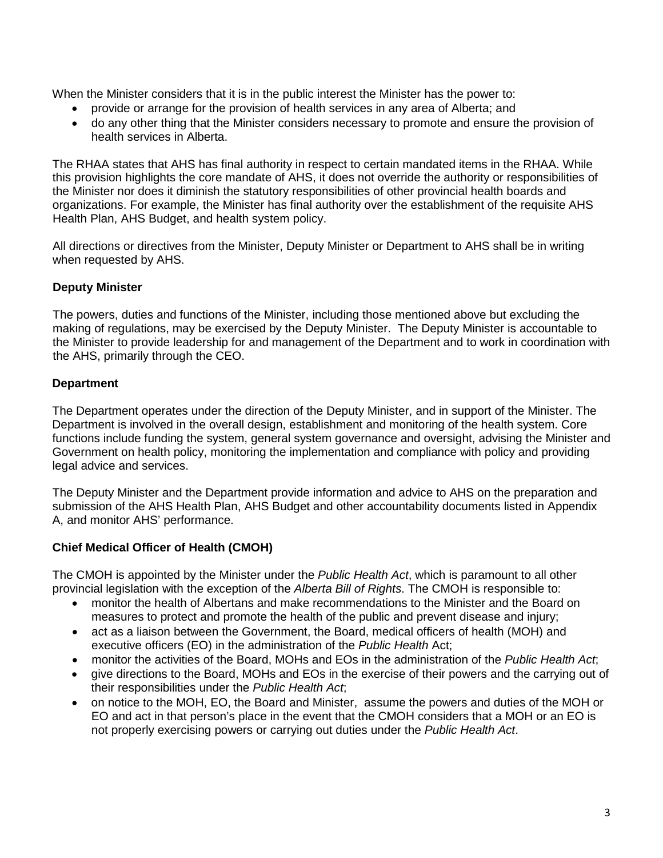When the Minister considers that it is in the public interest the Minister has the power to:

- provide or arrange for the provision of health services in any area of Alberta; and
- do any other thing that the Minister considers necessary to promote and ensure the provision of health services in Alberta.

The RHAA states that AHS has final authority in respect to certain mandated items in the RHAA. While this provision highlights the core mandate of AHS, it does not override the authority or responsibilities of the Minister nor does it diminish the statutory responsibilities of other provincial health boards and organizations. For example, the Minister has final authority over the establishment of the requisite AHS Health Plan, AHS Budget, and health system policy.

All directions or directives from the Minister, Deputy Minister or Department to AHS shall be in writing when requested by AHS.

## **Deputy Minister**

The powers, duties and functions of the Minister, including those mentioned above but excluding the making of regulations, may be exercised by the Deputy Minister. The Deputy Minister is accountable to the Minister to provide leadership for and management of the Department and to work in coordination with the AHS, primarily through the CEO.

# **Department**

The Department operates under the direction of the Deputy Minister, and in support of the Minister. The Department is involved in the overall design, establishment and monitoring of the health system. Core functions include funding the system, general system governance and oversight, advising the Minister and Government on health policy, monitoring the implementation and compliance with policy and providing legal advice and services.

The Deputy Minister and the Department provide information and advice to AHS on the preparation and submission of the AHS Health Plan, AHS Budget and other accountability documents listed in Appendix A, and monitor AHS' performance.

# **Chief Medical Officer of Health (CMOH)**

The CMOH is appointed by the Minister under the *Public Health Act*, which is paramount to all other provincial legislation with the exception of the *Alberta Bill of Rights*. The CMOH is responsible to:

- monitor the health of Albertans and make recommendations to the Minister and the Board on measures to protect and promote the health of the public and prevent disease and injury;
- act as a liaison between the Government, the Board, medical officers of health (MOH) and executive officers (EO) in the administration of the *Public Health* Act;
- monitor the activities of the Board, MOHs and EOs in the administration of the *Public Health Act*;
- give directions to the Board, MOHs and EOs in the exercise of their powers and the carrying out of their responsibilities under the *Public Health Act*;
- on notice to the MOH, EO, the Board and Minister, assume the powers and duties of the MOH or EO and act in that person's place in the event that the CMOH considers that a MOH or an EO is not properly exercising powers or carrying out duties under the *Public Health Act*.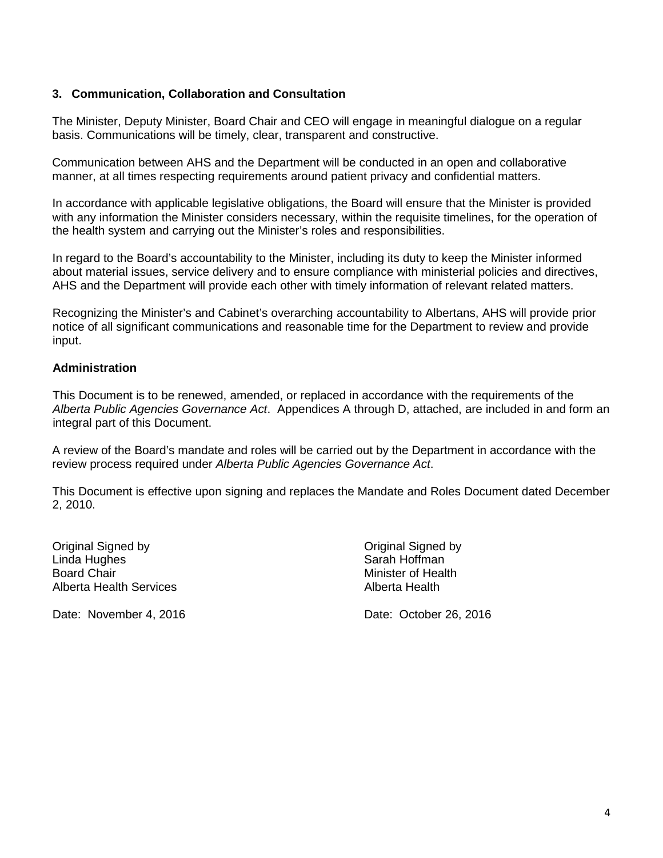### **3. Communication, Collaboration and Consultation**

The Minister, Deputy Minister, Board Chair and CEO will engage in meaningful dialogue on a regular basis. Communications will be timely, clear, transparent and constructive.

Communication between AHS and the Department will be conducted in an open and collaborative manner, at all times respecting requirements around patient privacy and confidential matters.

In accordance with applicable legislative obligations, the Board will ensure that the Minister is provided with any information the Minister considers necessary, within the requisite timelines, for the operation of the health system and carrying out the Minister's roles and responsibilities.

In regard to the Board's accountability to the Minister, including its duty to keep the Minister informed about material issues, service delivery and to ensure compliance with ministerial policies and directives, AHS and the Department will provide each other with timely information of relevant related matters.

Recognizing the Minister's and Cabinet's overarching accountability to Albertans, AHS will provide prior notice of all significant communications and reasonable time for the Department to review and provide input.

### **Administration**

This Document is to be renewed, amended, or replaced in accordance with the requirements of the *Alberta Public Agencies Governance Act*. Appendices A through D, attached, are included in and form an integral part of this Document.

A review of the Board's mandate and roles will be carried out by the Department in accordance with the review process required under *Alberta Public Agencies Governance Act*.

This Document is effective upon signing and replaces the Mandate and Roles Document dated December 2, 2010.

Original Signed by Original Signed by Linda Hughes **Sarah Hoffman**<br>Board Chair **Sarah Hoffman**<br>Minister of Heal Alberta Health Services Alberta Health

Date: November 4, 2016 Date: October 26, 2016

**Minister of Health**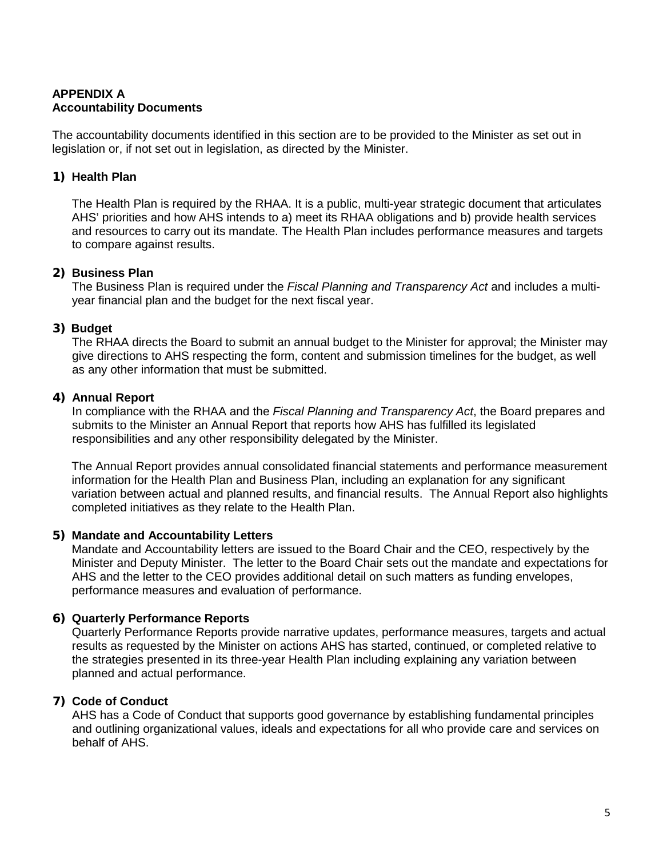# **APPENDIX A Accountability Documents**

The accountability documents identified in this section are to be provided to the Minister as set out in legislation or, if not set out in legislation, as directed by the Minister.

## **1) Health Plan**

The Health Plan is required by the RHAA. It is a public, multi-year strategic document that articulates AHS' priorities and how AHS intends to a) meet its RHAA obligations and b) provide health services and resources to carry out its mandate. The Health Plan includes performance measures and targets to compare against results.

### **2) Business Plan**

The Business Plan is required under the *Fiscal Planning and Transparency Act* and includes a multiyear financial plan and the budget for the next fiscal year.

### **3) Budget**

The RHAA directs the Board to submit an annual budget to the Minister for approval; the Minister may give directions to AHS respecting the form, content and submission timelines for the budget, as well as any other information that must be submitted.

#### **4) Annual Report**

In compliance with the RHAA and the *Fiscal Planning and Transparency Act*, the Board prepares and submits to the Minister an Annual Report that reports how AHS has fulfilled its legislated responsibilities and any other responsibility delegated by the Minister.

The Annual Report provides annual consolidated financial statements and performance measurement information for the Health Plan and Business Plan, including an explanation for any significant variation between actual and planned results, and financial results. The Annual Report also highlights completed initiatives as they relate to the Health Plan.

### **5) Mandate and Accountability Letters**

Mandate and Accountability letters are issued to the Board Chair and the CEO, respectively by the Minister and Deputy Minister. The letter to the Board Chair sets out the mandate and expectations for AHS and the letter to the CEO provides additional detail on such matters as funding envelopes, performance measures and evaluation of performance.

### **6) Quarterly Performance Reports**

Quarterly Performance Reports provide narrative updates, performance measures, targets and actual results as requested by the Minister on actions AHS has started, continued, or completed relative to the strategies presented in its three-year Health Plan including explaining any variation between planned and actual performance.

### **7) Code of Conduct**

AHS has a Code of Conduct that supports good governance by establishing fundamental principles and outlining organizational values, ideals and expectations for all who provide care and services on behalf of AHS.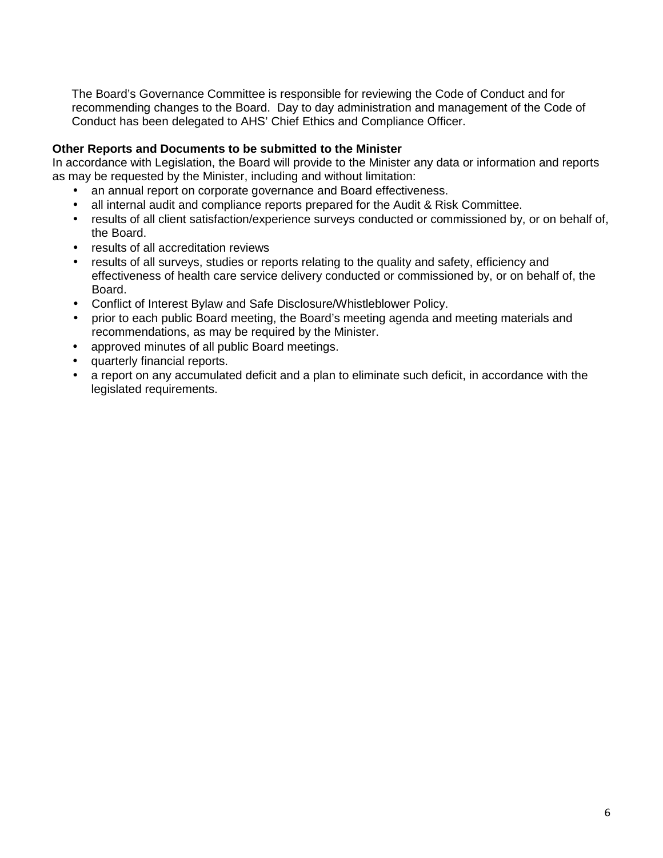The Board's Governance Committee is responsible for reviewing the Code of Conduct and for recommending changes to the Board. Day to day administration and management of the Code of Conduct has been delegated to AHS' Chief Ethics and Compliance Officer.

### **Other Reports and Documents to be submitted to the Minister**

In accordance with Legislation, the Board will provide to the Minister any data or information and reports as may be requested by the Minister, including and without limitation:

- an annual report on corporate governance and Board effectiveness.
- all internal audit and compliance reports prepared for the Audit & Risk Committee.
- results of all client satisfaction/experience surveys conducted or commissioned by, or on behalf of, the Board.
- results of all accreditation reviews
- results of all surveys, studies or reports relating to the quality and safety, efficiency and effectiveness of health care service delivery conducted or commissioned by, or on behalf of, the Board.
- Conflict of Interest Bylaw and Safe Disclosure/Whistleblower Policy.
- prior to each public Board meeting, the Board's meeting agenda and meeting materials and recommendations, as may be required by the Minister.
- approved minutes of all public Board meetings.
- quarterly financial reports.
- a report on any accumulated deficit and a plan to eliminate such deficit, in accordance with the legislated requirements.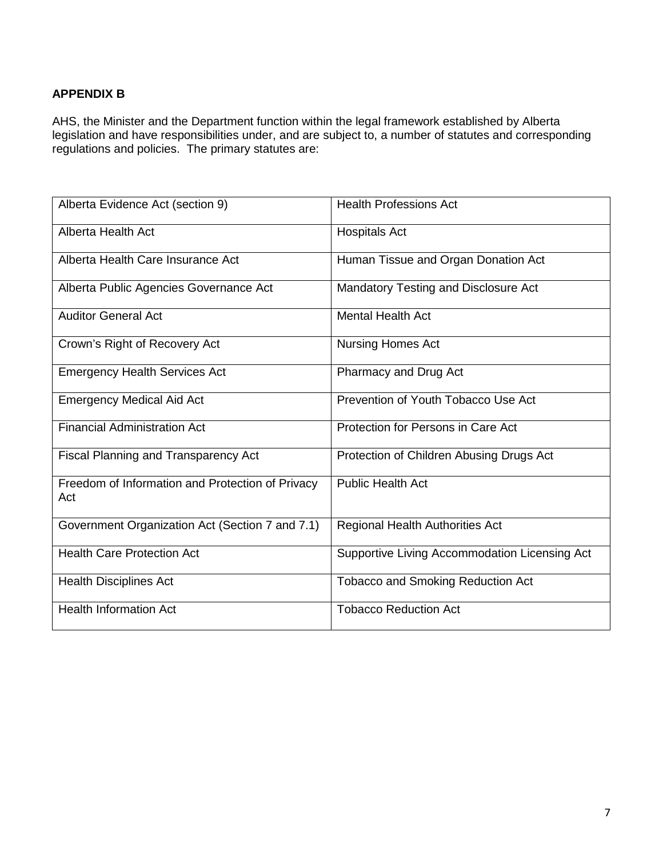# **APPENDIX B**

AHS, the Minister and the Department function within the legal framework established by Alberta legislation and have responsibilities under, and are subject to, a number of statutes and corresponding regulations and policies. The primary statutes are:

| Alberta Evidence Act (section 9)                        | <b>Health Professions Act</b>                 |
|---------------------------------------------------------|-----------------------------------------------|
| Alberta Health Act                                      | <b>Hospitals Act</b>                          |
| Alberta Health Care Insurance Act                       | Human Tissue and Organ Donation Act           |
| Alberta Public Agencies Governance Act                  | Mandatory Testing and Disclosure Act          |
| <b>Auditor General Act</b>                              | <b>Mental Health Act</b>                      |
| Crown's Right of Recovery Act                           | <b>Nursing Homes Act</b>                      |
| <b>Emergency Health Services Act</b>                    | Pharmacy and Drug Act                         |
| <b>Emergency Medical Aid Act</b>                        | Prevention of Youth Tobacco Use Act           |
| <b>Financial Administration Act</b>                     | Protection for Persons in Care Act            |
| Fiscal Planning and Transparency Act                    | Protection of Children Abusing Drugs Act      |
| Freedom of Information and Protection of Privacy<br>Act | <b>Public Health Act</b>                      |
| Government Organization Act (Section 7 and 7.1)         | Regional Health Authorities Act               |
| <b>Health Care Protection Act</b>                       | Supportive Living Accommodation Licensing Act |
| <b>Health Disciplines Act</b>                           | <b>Tobacco and Smoking Reduction Act</b>      |
| <b>Health Information Act</b>                           | <b>Tobacco Reduction Act</b>                  |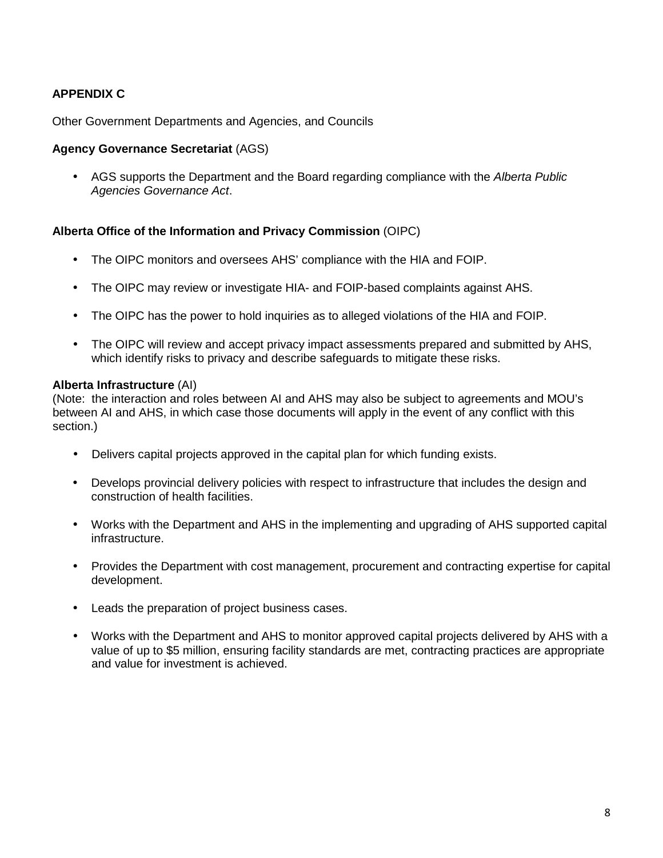# **APPENDIX C**

Other Government Departments and Agencies, and Councils

#### **Agency Governance Secretariat** (AGS)

• AGS supports the Department and the Board regarding compliance with the *Alberta Public Agencies Governance Act*.

### **Alberta Office of the Information and Privacy Commission** (OIPC)

- The OIPC monitors and oversees AHS' compliance with the HIA and FOIP.
- The OIPC may review or investigate HIA- and FOIP-based complaints against AHS.
- The OIPC has the power to hold inquiries as to alleged violations of the HIA and FOIP.
- The OIPC will review and accept privacy impact assessments prepared and submitted by AHS, which identify risks to privacy and describe safeguards to mitigate these risks.

#### **Alberta Infrastructure** (AI)

(Note: the interaction and roles between AI and AHS may also be subject to agreements and MOU's between AI and AHS, in which case those documents will apply in the event of any conflict with this section.)

- Delivers capital projects approved in the capital plan for which funding exists.
- Develops provincial delivery policies with respect to infrastructure that includes the design and construction of health facilities.
- Works with the Department and AHS in the implementing and upgrading of AHS supported capital infrastructure.
- Provides the Department with cost management, procurement and contracting expertise for capital development.
- Leads the preparation of project business cases.
- Works with the Department and AHS to monitor approved capital projects delivered by AHS with a value of up to \$5 million, ensuring facility standards are met, contracting practices are appropriate and value for investment is achieved.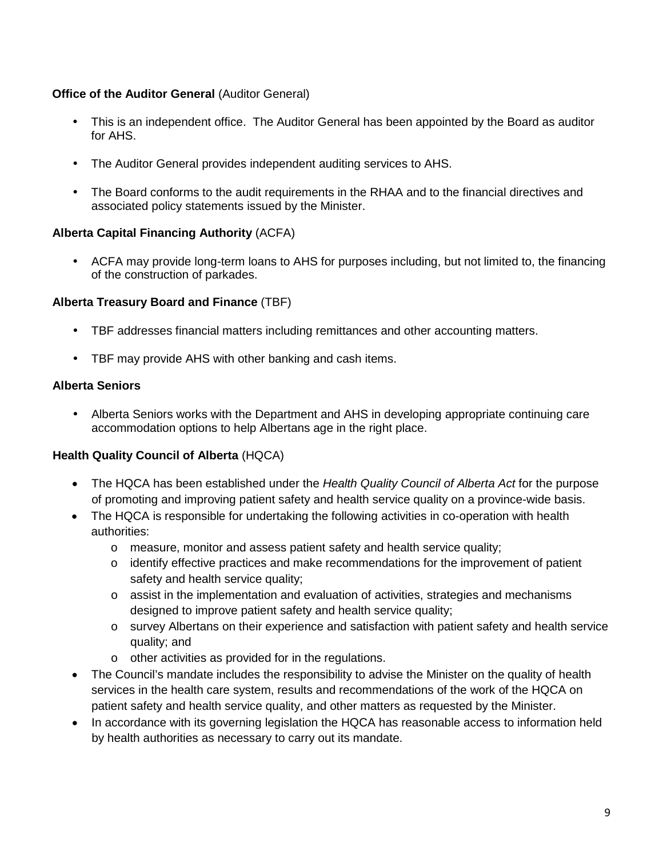## **Office of the Auditor General** (Auditor General)

- This is an independent office. The Auditor General has been appointed by the Board as auditor for AHS.
- The Auditor General provides independent auditing services to AHS.
- The Board conforms to the audit requirements in the RHAA and to the financial directives and associated policy statements issued by the Minister.

## **Alberta Capital Financing Authority** (ACFA)

• ACFA may provide long-term loans to AHS for purposes including, but not limited to, the financing of the construction of parkades.

## **Alberta Treasury Board and Finance** (TBF)

- TBF addresses financial matters including remittances and other accounting matters.
- TBF may provide AHS with other banking and cash items.

## **Alberta Seniors**

• Alberta Seniors works with the Department and AHS in developing appropriate continuing care accommodation options to help Albertans age in the right place.

# **Health Quality Council of Alberta** (HQCA)

- The HQCA has been established under the *Health Quality Council of Alberta Act* for the purpose of promoting and improving patient safety and health service quality on a province-wide basis.
- The HQCA is responsible for undertaking the following activities in co-operation with health authorities:
	- o measure, monitor and assess patient safety and health service quality;
	- $\circ$  identify effective practices and make recommendations for the improvement of patient safety and health service quality;
	- $\circ$  assist in the implementation and evaluation of activities, strategies and mechanisms designed to improve patient safety and health service quality;
	- o survey Albertans on their experience and satisfaction with patient safety and health service quality; and
	- o other activities as provided for in the regulations.
- The Council's mandate includes the responsibility to advise the Minister on the quality of health services in the health care system, results and recommendations of the work of the HQCA on patient safety and health service quality, and other matters as requested by the Minister.
- In accordance with its governing legislation the HQCA has reasonable access to information held by health authorities as necessary to carry out its mandate.